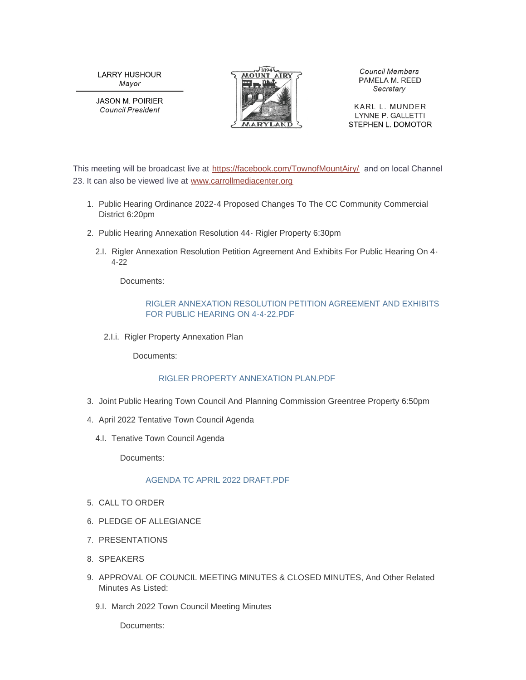**LARRY HUSHOUR** Mayor

**JASON M. POIRIER Council President** 



**Council Members** PAMELA M. REED Secretary

KARL L. MUNDER LYNNE P. GALLETTI STEPHEN L. DOMOTOR

This meeting will be broadcast live at <https://facebook.com/TownofMountAiry/> and on local Channel 23. It can also be viewed live at [www.carrollmediacenter.org](https://www.carrollmediacenter.org/)

- 1. Public Hearing Ordinance 2022-4 Proposed Changes To The CC Community Commercial District 6:20pm
- 2. Public Hearing Annexation Resolution 44 Rigler Property 6:30pm
	- 2.I. Rigler Annexation Resolution Petition Agreement And Exhibits For Public Hearing On 4-4-22

Documents:

#### [RIGLER ANNEXATION RESOLUTION PETITION AGREEMENT AND EXHIBITS](https://www.mountairymd.org/AgendaCenter/ViewFile/Item/1703?fileID=40765)  FOR PUBLIC HEARING ON 4-4-22.PDF

2.I.i. Rigler Property Annexation Plan

Documents:

## [RIGLER PROPERTY ANNEXATION PLAN.PDF](https://www.mountairymd.org/AgendaCenter/ViewFile/Item/1704?fileID=40766)

- 3. Joint Public Hearing Town Council And Planning Commission Greentree Property 6:50pm
- 4. April 2022 Tentative Town Council Agenda
	- 4.I. Tenative Town Council Agenda

Documents:

## [AGENDA TC APRIL 2022 DRAFT.PDF](https://www.mountairymd.org/AgendaCenter/ViewFile/Item/1702?fileID=40764)

- 5. CALL TO ORDER
- 6. PLEDGE OF ALLEGIANCE
- 7. PRESENTATIONS
- 8. SPEAKERS
- 9. APPROVAL OF COUNCIL MEETING MINUTES & CLOSED MINUTES, And Other Related Minutes As Listed:
	- 9.I. March 2022 Town Council Meeting Minutes

Documents: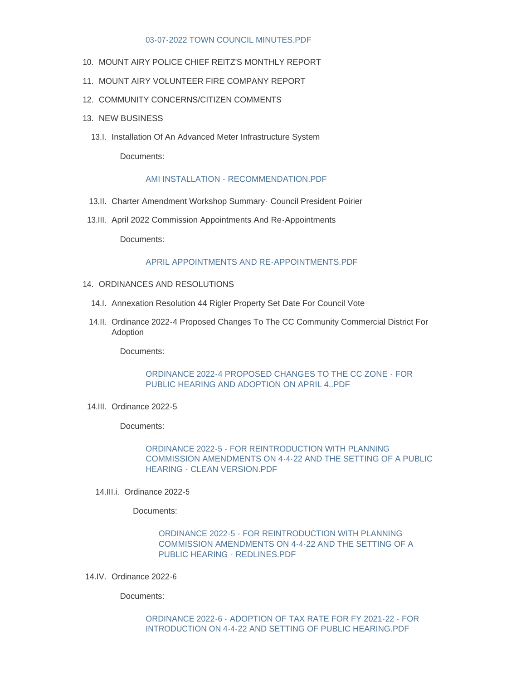#### [03-07-2022 TOWN COUNCIL MINUTES.PDF](https://www.mountairymd.org/AgendaCenter/ViewFile/Item/1676?fileID=40744)

- 10. MOUNT AIRY POLICE CHIEF REITZ'S MONTHLY REPORT
- 11. MOUNT AIRY VOLUNTEER FIRE COMPANY REPORT
- 12. COMMUNITY CONCERNS/CITIZEN COMMENTS
- 13. NEW BUSINESS
	- 13.I. Installation Of An Advanced Meter Infrastructure System

Documents:

#### [AMI INSTALLATION - RECOMMENDATION.PDF](https://www.mountairymd.org/AgendaCenter/ViewFile/Item/1677?fileID=40745)

- 13.II. Charter Amendment Workshop Summary Council President Poirier
- 13.III. April 2022 Commission Appointments And Re-Appointments

Documents:

#### APRIL APPOINTMENTS AND RE-APPOINTMENTS PDE

- 14. ORDINANCES AND RESOLUTIONS
	- 14.I. Annexation Resolution 44 Rigler Property Set Date For Council Vote
	- 14.II. Ordinance 2022-4 Proposed Changes To The CC Community Commercial District For Adoption

Documents:

#### [ORDINANCE 2022-4 PROPOSED CHANGES TO THE CC ZONE - FOR](https://www.mountairymd.org/AgendaCenter/ViewFile/Item/1685?fileID=40748)  PUBLIC HEARING AND ADOPTION ON APRIL 4..PDF

14.III. Ordinance 2022-5

Documents:

# ORDINANCE 2022-5 - FOR REINTRODUCTION WITH PLANNING [COMMISSION AMENDMENTS ON 4-4-22 AND THE SETTING OF A PUBLIC](https://www.mountairymd.org/AgendaCenter/ViewFile/Item/1686?fileID=40749)  HEARING - CLEAN VERSION.PDF

14.III.i. Ordinance 2022-5

Documents:

# ORDINANCE 2022-5 - FOR REINTRODUCTION WITH PLANNING [COMMISSION AMENDMENTS ON 4-4-22 AND THE SETTING OF A](https://www.mountairymd.org/AgendaCenter/ViewFile/Item/1687?fileID=40750)  PUBLIC HEARING - REDLINES.PDF

14.IV. Ordinance 2022-6

Documents:

## [ORDINANCE 2022-6 - ADOPTION OF TAX RATE FOR FY 2021-22 - FOR](https://www.mountairymd.org/AgendaCenter/ViewFile/Item/1688?fileID=40751)  INTRODUCTION ON 4-4-22 AND SETTING OF PUBLIC HEARING.PDF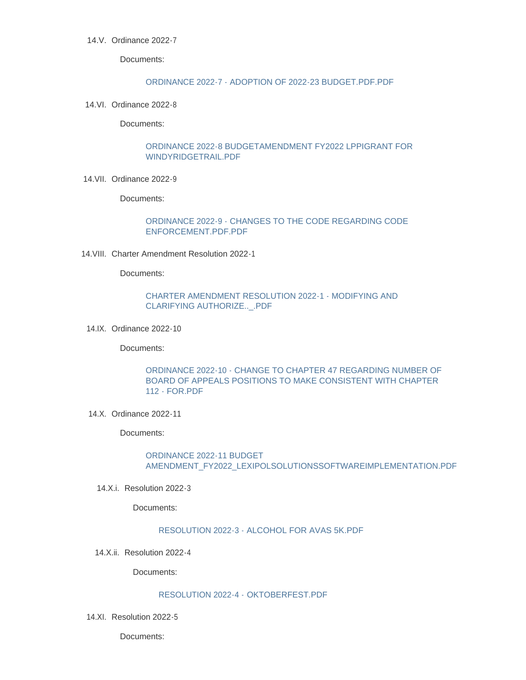## 14.V. Ordinance 2022-7

Documents:

#### [ORDINANCE 2022-7 - ADOPTION OF 2022-23 BUDGET.PDF.PDF](https://www.mountairymd.org/AgendaCenter/ViewFile/Item/1689?fileID=40752)

14.VI. Ordinance 2022-8

Documents:

## [ORDINANCE 2022-8 BUDGETAMENDMENT FY2022 LPPIGRANT FOR](https://www.mountairymd.org/AgendaCenter/ViewFile/Item/1691?fileID=40754)  WINDYRIDGETRAIL.PDF

14. VII. Ordinance 2022 - 9

Documents:

# [ORDINANCE 2022-9 - CHANGES TO THE CODE REGARDING CODE](https://www.mountairymd.org/AgendaCenter/ViewFile/Item/1692?fileID=40755)  ENFORCEMENT.PDF.PDF

14. VIII. Charter Amendment Resolution 2022-1

Documents:

# [CHARTER AMENDMENT RESOLUTION 2022-1 - MODIFYING AND](https://www.mountairymd.org/AgendaCenter/ViewFile/Item/1693?fileID=40756)  CLARIFYING AUTHORIZE..\_.PDF

14.IX. Ordinance 2022-10

Documents:

# [ORDINANCE 2022-10 - CHANGE TO CHAPTER 47 REGARDING NUMBER OF](https://www.mountairymd.org/AgendaCenter/ViewFile/Item/1694?fileID=40757)  BOARD OF APPEALS POSITIONS TO MAKE CONSISTENT WITH CHAPTER 112 - FOR.PDF

14.X. Ordinance 2022-11

Documents:

ORDINANCE 2022-11 BUDGET [AMENDMENT\\_FY2022\\_LEXIPOLSOLUTIONSSOFTWAREIMPLEMENTATION.PDF](https://www.mountairymd.org/AgendaCenter/ViewFile/Item/1695?fileID=40758)

14.X.i. Resolution 2022-3

Documents:

## [RESOLUTION 2022-3 - ALCOHOL FOR AVAS 5K.PDF](https://www.mountairymd.org/AgendaCenter/ViewFile/Item/1696?fileID=40759)

14.X.ii. Resolution 2022-4

Documents:

# [RESOLUTION 2022-4 -](https://www.mountairymd.org/AgendaCenter/ViewFile/Item/1697?fileID=40760) OKTOBERFEST.PDF

14.XI. Resolution 2022-5

Documents: